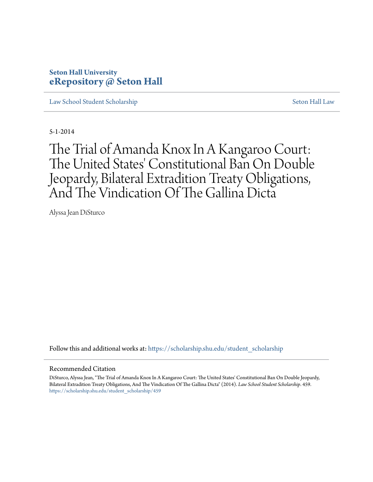# **Seton Hall University [eRepository @ Seton Hall](https://scholarship.shu.edu?utm_source=scholarship.shu.edu%2Fstudent_scholarship%2F459&utm_medium=PDF&utm_campaign=PDFCoverPages)**

[Law School Student Scholarship](https://scholarship.shu.edu/student_scholarship?utm_source=scholarship.shu.edu%2Fstudent_scholarship%2F459&utm_medium=PDF&utm_campaign=PDFCoverPages) [Seton Hall Law](https://scholarship.shu.edu/law?utm_source=scholarship.shu.edu%2Fstudent_scholarship%2F459&utm_medium=PDF&utm_campaign=PDFCoverPages)

5-1-2014

The Trial of Amanda Knox In A Kangaroo Court: The United States' Constitutional Ban On Double Jeopardy, Bilateral Extradition Treaty Obligations, And The Vindication Of The Gallina Dicta

Alyssa Jean DiSturco

Follow this and additional works at: [https://scholarship.shu.edu/student\\_scholarship](https://scholarship.shu.edu/student_scholarship?utm_source=scholarship.shu.edu%2Fstudent_scholarship%2F459&utm_medium=PDF&utm_campaign=PDFCoverPages)

#### Recommended Citation

DiSturco, Alyssa Jean, "The Trial of Amanda Knox In A Kangaroo Court: The United States' Constitutional Ban On Double Jeopardy, Bilateral Extradition Treaty Obligations, And The Vindication Of The Gallina Dicta" (2014). *Law School Student Scholarship*. 459. [https://scholarship.shu.edu/student\\_scholarship/459](https://scholarship.shu.edu/student_scholarship/459?utm_source=scholarship.shu.edu%2Fstudent_scholarship%2F459&utm_medium=PDF&utm_campaign=PDFCoverPages)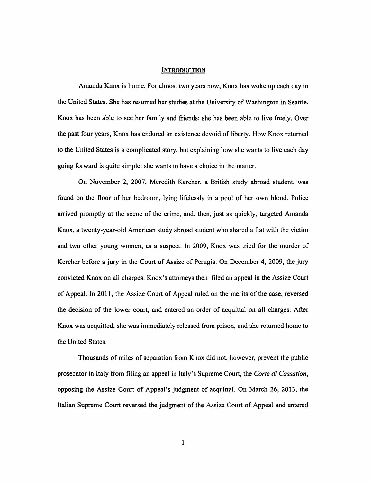#### **INTRODUCTION**

Amanda Knox is home. For almost two years now, Knox has woke up each day in the United States. She has resumed her studies at the University of Washington in Seattle. Knox has been able to see her family and friends; she has been able to live freely. Over the past four years, Knox has endured an existence devoid of liberty. How Knox returned to the United States is a complicated story, but explaining how she wants to live each day going forward is quite simple: she wants to have a choice in the matter.

On November 2, 2007, Meredith Kercher, a British study abroad student, was found on the floor of her bedroom, lying lifelessly in a pool of her own blood. Police arrived promptly at the scene of the crime, and, then, just as quickly, targeted Amanda Knox, a twenty-year-old American study abroad student who shared a flat with the victim and two other young women, as a suspect. In 2009, Knox was tried for the murder of Kercher before a jury in the Court of Assize of Perugia. On December 4, 2009, the jury convicted Knox on all charges. Knox's attorneys then filed an appeal in the Assize Court of Appeal. In 2011, the Assize Court of Appeal ruled on the merits of the case, reversed the decision of the lower court, and entered an order of acquittal on all charges. After Knox was acquitted, she was immediately released from prison, and she returned home to the United States.

Thousands of miles of separation from Knox did not, however, prevent the public prosecutor in Italy from filing an appeal in Italy's Supreme Court, the *Corte di Cassation,*  opposing the Assize Court of Appeal's judgment of acquittal. On March 26, 2013, the Italian Supreme Court reversed the judgment of the Assize Court of Appeal and entered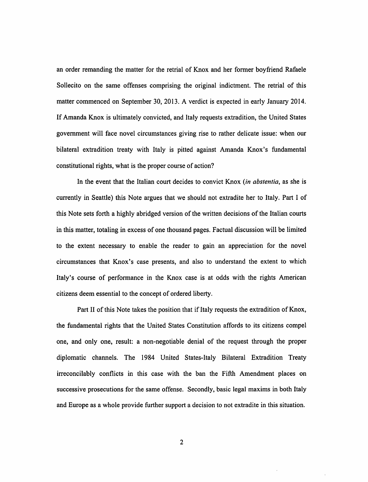an order remanding the matter for the retrial of Knox and her former boyfriend Rafaele Sollecito on the same offenses comprising the original indictment. The retrial of this matter commenced on September 30, 2013. A verdict is expected in early January 2014. If Amanda Knox is ultimately convicted, and Italy requests extradition, the United States government will face novel circumstances giving rise to rather delicate issue: when our bilateral extradition treaty with Italy is pitted against Amanda Knox's fundamental constitutional rights, what is the proper course of action?

In the event that the Italian court decides to convict Knox *(in abstentia,* as she is currently in Seattle) this Note argues that we should not extradite her to Italy. Part I of this Note sets forth a highly abridged version of the written decisions of the Italian courts in this matter, totaling in excess of one thousand pages. Factual discussion will be limited to the extent necessary to enable the reader to gain an appreciation for the novel circumstances that Knox's case presents, and also to understand the extent to which Italy's course of performance in the Knox case is at odds with the rights American citizens deem essential to the concept of ordered liberty.

Part II of this Note takes the position that if Italy requests the extradition of Knox, the fundamental rights that the United States Constitution affords to its citizens compel one, and only one, result: a non-negotiable denial of the request through the proper diplomatic channels. The 1984 United States-Italy Bilateral Extradition Treaty irreconcilably conflicts in this case with the ban the Fifth Amendment places on successive prosecutions for the same offense. Secondly, basic legal maxims in both Italy and Europe as a whole provide further support a decision to not extradite in this situation.

2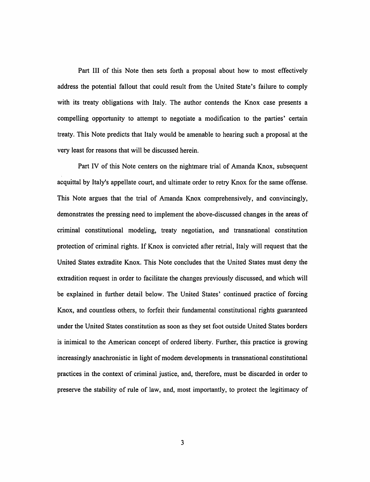Part III of this Note then sets forth a proposal about how to most effectively address the potential fallout that could result from the United State's failure to comply with its treaty obligations with Italy. The author contends the Knox case presents a compelling opportunity to attempt to negotiate a modification to the parties' certain treaty. This Note predicts that Italy would be amenable to hearing such a proposal at the very least for reasons that will be discussed herein.

Part IV of this Note centers on the nightmare trial of Amanda Knox, subsequent acquittal by Italy's appellate court, and ultimate order to retry Knox for the same offense. This Note argues that the trial of Amanda Knox comprehensively, and convincingly, demonstrates the pressing need to implement the above-discussed changes in the areas of criminal constitutional modeling, treaty negotiation, and transnational constitution protection of criminal rights. If Knox is convicted after retrial, Italy will request that the United States extradite Knox. This Note concludes that the United States must deny the extradition request in order to facilitate the changes previously discussed, and which will be explained in further detail below. The United States' continued practice of forcing Knox, and countless others, to forfeit their fundamental constitutional rights guaranteed under the United States constitution as soon as they set foot outside United States borders is inimical to the American concept of ordered liberty. Further, this practice is growing increasingly anachronistic in light of modem developments in transnational constitutional practices in the context of criminal justice, and, therefore, must be discarded in order to preserve the stability of rule of law, and, most importantly, to protect the legitimacy of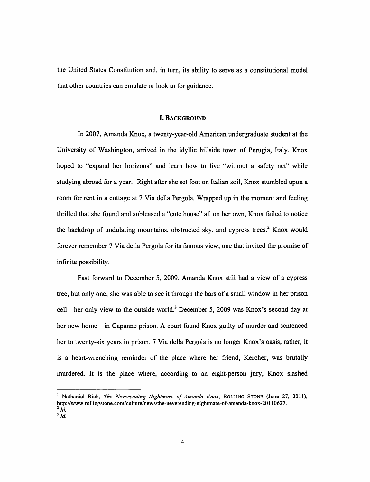the United States Constitution and, in tum, its ability to serve as a constitutional model that other countries can emulate or look to for guidance.

### I. BACKGROUND

In 2007, Amanda Knox, a twenty-year-old American undergraduate student at the University of Washington, arrived in the idyllic hillside town of Perugia, Italy. Knox hoped to "expand her horizons" and learn how to live "without a safety net" while studying abroad for a year.<sup>1</sup> Right after she set foot on Italian soil, Knox stumbled upon a room for rent in a cottage at 7 Via della Pergola. Wrapped up in the moment and feeling thrilled that she found and subleased a "cute house" all on her own, Knox failed to notice the backdrop of undulating mountains, obstructed sky, and cypress trees.<sup>2</sup> Knox would forever remember 7 Via della Pergola for its famous view, one that invited the promise of infinite possibility.

Fast forward to December 5, 2009. Amanda Knox still had a view of a cypress tree, but only one; she was able to see it through the bars of a small window in her prison cell—her only view to the outside world.<sup>3</sup> December 5, 2009 was Knox's second day at her new home—in Capanne prison. A court found Knox guilty of murder and sentenced her to twenty-six years in prison. 7 Via della Pergola is no longer Knox's oasis; rather, it is a heart-wrenching reminder of the place where her friend, Kercher, was brutally murdered. It is the place where, according to an eight-person jury, Knox slashed

4

<sup>&</sup>lt;sup>1</sup> Nathaniel Rich, *The Neverending Nightmare of Amanda Knox*, ROLLING STONE (June 27, 2011), http://www .rollingstone.com/culture/news/the-neverending-nightmare-of-amanda-knox-20 II 0627.  $^{2}$   $\dot{d}$ .  $\overline{\int d}$ .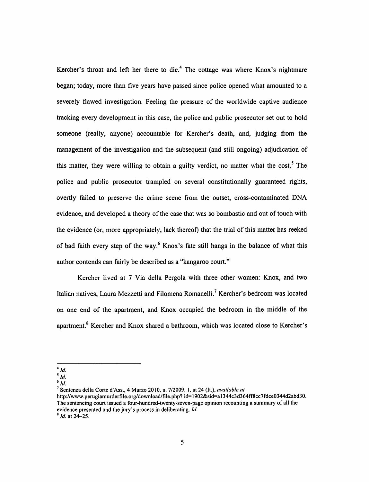Kercher's throat and left her there to die.<sup>4</sup> The cottage was where Knox's nightmare began; today, more than five years have passed since police opened what amounted to a severely flawed investigation. Feeling the pressure of the worldwide captive audience tracking every development in this case, the police and public prosecutor set out to hold someone (really, anyone) accountable for Kercher's death, and, judging from the management of the investigation and the subsequent (and still ongoing) adjudication of this matter, they were willing to obtain a guilty verdict, no matter what the cost.<sup>5</sup> The police and public prosecutor trampled on several constitutionally guaranteed rights, overtly failed to preserve the crime scene from the outset, cross-contaminated DNA evidence, and developed a theory of the case that was so bombastic and out of touch with the evidence (or, more appropriately, lack thereof) that the trial of this matter has reeked of bad faith every step of the way.<sup>6</sup> Knox's fate still hangs in the balance of what this author contends can fairly be described as a "kangaroo court."

Kercher lived at 7 Via della Pergola with three other women: Knox, and two Italian natives, Laura Mezzetti and Filomena Romanelli.<sup>7</sup> Kercher's bedroom was located on one end of the apartment, and Knox occupied the bedroom in the middle of the apartment. 8 Kercher and Knox shared a bathroom, which was located close to Kercher's

 $4$   $Id$ .

 $\overline{\phantom{a}}^{5}$  *Id.* 

*<sup>6/</sup>d.* 

<sup>7</sup> Sentenza della Corte d'Ass., 4 Marzo 2010, n. 7/2009, I, at 24 (It.), *available at* 

http://www.perugiamurderfile.org/download/file.php?id=1902&sid=a1344c3d364ff8cc7fdce0344d2abd30. The sentencing court issued a four-hundred-twenty-seven-page opinion recounting a summary of all the evidence presented and the jury's process in deliberating. *Id.* <sup>8</sup> *Id.* at 24-25.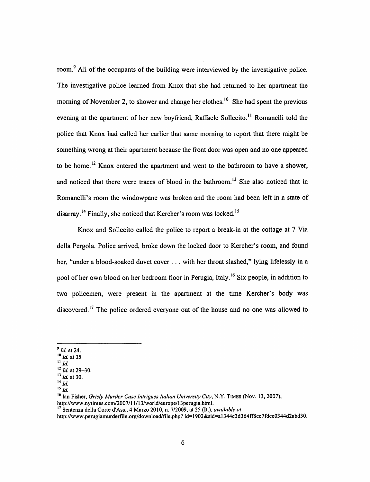room.<sup>9</sup> All of the occupants of the building were interviewed by the investigative police. The investigative police learned from Knox that she had returned to her apartment the morning of November 2, to shower and change her clothes.<sup>10</sup> She had spent the previous evening at the apartment of her new boyfriend, Raffaele Sollecito.<sup>11</sup> Romanelli told the police that Knox had called her earlier that same morning to report that there might be something wrong at their apartment because the front door was open and no one appeared to be home.<sup>12</sup> Knox entered the apartment and went to the bathroom to have a shower, and noticed that there were traces of blood in the bathroom.<sup>13</sup> She also noticed that in Romanelli's room the windowpane was broken and the room had been left in a state of disarray. 14 Finally, she noticed that Kercher's room was locked. <sup>15</sup>

Knox and Sollecito called the police to report a break-in at the cottage at 7 Via della Pergola. Police arrived, broke down the locked door to Kercher's room, and found her, "under a blood-soaked duvet cover . . . with her throat slashed," lying lifelessly in a pool of her own blood on her bedroom floor in Perugia, Italy.<sup>16</sup> Six people, in addition to two policemen, were present in the apartment at the time Kercher's body was discovered.<sup>17</sup> The police ordered everyone out of the house and no one was allowed to

- <sup>9</sup>*/d.* at 24.
- <sup>10</sup>*/d.* at 35
- $\overline{\mathbf{u}}$  *Id.*
- <sup>12</sup>*/d.* at 29-30. <sup>13</sup>*/d.* at 30.
- $14$   $\overline{Id}$ .
- $15\overline{1}d$ .

<sup>&</sup>lt;sup>16</sup> Ian Fisher, *Grisly Murder Case Intrigues Italian University City*, N.Y. TIMES (Nov. 13, 2007), http://www.nytimes.com/2007/11/13/world/europe/13perugia.html.

<sup>&</sup>lt;sup>17</sup> Sentenza della Corte d'Ass., 4 Marzo 2010, n. 7/2009, at 25 (It.), *available at* 

http://www.perugiamurderfile.org/download/file.php? id= 1902&sid=a 1 344c3d364ff8cc7fdce0344d2abd30.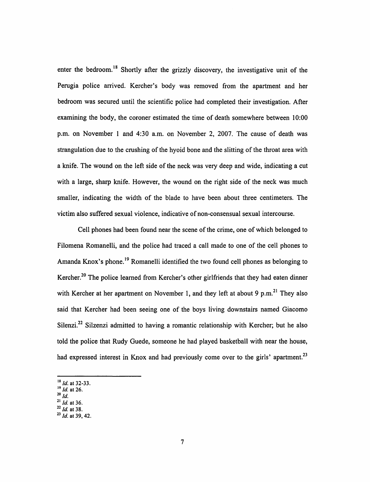enter the bedroom.<sup>18</sup> Shortly after the grizzly discovery, the investigative unit of the Perugia police arrived. Kercher's body was removed from the apartment and her bedroom was secured until the scientific police had completed their investigation. After examining the body, the coroner estimated the time of death somewhere between 10:00 p.m. on November 1 and 4:30 a.m. on November 2, 2007. The cause of death was strangulation due to the crushing of the hyoid bone and the slitting of the throat area with a knife. The wound on the left side of the neck was very deep and wide, indicating a cut with a large, sharp knife. However, the wound on the right side of the neck was much smaller, indicating the width of the blade to have been about three centimeters. The victim also suffered sexual violence, indicative of non-consensual sexual intercourse.

Cell phones had been found near the scene of the crime, one of which belonged to Filomena Romanelli, and the police had traced a call made to one of the cell phones to Amanda Knox's phone.<sup>19</sup> Romanelli identified the two found cell phones as belonging to Kercher.<sup>20</sup> The police learned from Kercher's other girlfriends that they had eaten dinner with Kercher at her apartment on November 1, and they left at about 9 p.m.<sup>21</sup> They also said that Kercher had been seeing one of the boys living downstairs named Giacomo Silenzi.<sup>22</sup> Silzenzi admitted to having a romantic relationship with Kercher; but he also told the police that Rudy Guede, someone he had played basketball with near the house, had expressed interest in Knox and had previously come over to the girls' apartment.<sup>23</sup>

- <sup>18</sup>*/d.* at 32-33. <sup>19</sup>*/d.* at 26. 20 */d.*
- 
- 
- <sup>21</sup>*/d.* at 36. <sup>22</sup>*/d.* at 38.
- $^{23}$  *Id.* at 39, 42.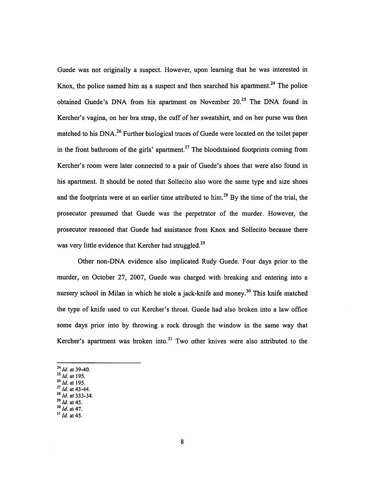Guede was not originally a suspect. However, upon learning that he was interested in Knox, the police named him as a suspect and then searched his apartment.<sup>24</sup> The police obtained Guede's DNA from his apartment on November  $20<sup>25</sup>$  The DNA found in Kercher's vagina, on her bra strap, the cuff of her sweatshirt, and on her purse was then matched to his DNA.<sup>26</sup> Further biological traces of Guede were located on the toilet paper in the front bathroom of the girls' apartment.<sup>27</sup> The bloodstained footprints coming from Kercher's room were later connected to a pair of Guede's shoes that were also found in his apartment. It should be noted that Sollecito also wore the same type and size shoes and the footprints were at an earlier time attributed to him.<sup>28</sup> By the time of the trial, the prosecutor presumed that Guede was the perpetrator of the murder. However, the prosecutor reasoned that Guede had assistance from Knox and Sollecito because there was very little evidence that Kercher had struggled.<sup>29</sup>

Other non-DNA evidence also implicated Rudy Guede. Four days prior to the murder, on October 27, 2007, Guede was charged with breaking and entering into a nursery school in Milan in which he stole a jack-knife and money.<sup>30</sup> This knife matched the type of knife used to cut Kercher's throat. Guede had also broken into a law office some days prior into by throwing a rock through the window in the same way that Kercher's apartment was broken into.<sup>31</sup> Two other knives were also attributed to the

- <sup>24</sup> *Id.* at 39-40.<br><sup>25</sup> *Id.* at 195.
- 
- 
- <sup>26</sup> *ld.* at 195.<br><sup>27</sup> *ld.* at 43-44.<br><sup>28</sup> *ld.* at 333-34.<br><sup>29</sup> *ld.* at 45.
- 
- <sup>29</sup>*Id.* at 45. 30 *ld.* at 47.
- $31$  *Id.* at 45.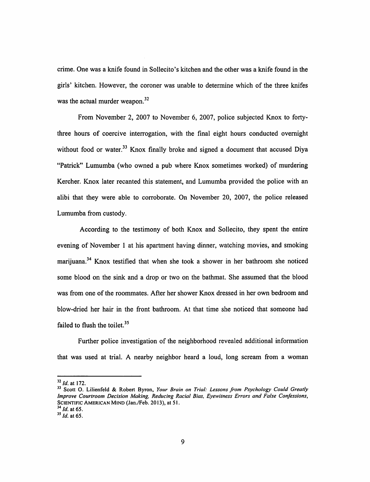crime. One was a knife found in Sollecito's kitchen and the other was a knife found in the girls' kitchen. However, the coroner was unable to determine which of the three knifes was the actual murder weapon. $32$ 

From November 2, 2007 to November 6, 2007, police subjected Knox to fortythree hours of coercive interrogation, with the final eight hours conducted overnight without food or water.<sup>33</sup> Knox finally broke and signed a document that accused Diya "Patrick" Lumumba (who owned a pub where Knox sometimes worked) of murdering Kercher. Knox later recanted this statement, and Lumumba provided the police with an alibi that they were able to corroborate. On November 20, 2007, the police released Lumumba from custody.

According to the testimony of both Knox and Sollecito, they spent the entire evening of November 1 at his apartment having dinner, watching movies, and smoking marijuana. 34 Knox testified that when she took a shower in her bathroom she noticed some blood on the sink and a drop or two on the bathmat. She assumed that the blood was from one of the roommates. After her shower Knox dressed in her own bedroom and blow-dried her hair in the front bathroom. At that time she noticed that someone had failed to flush the toilet. $35$ 

Further police investigation of the neighborhood revealed additional information that was used at trial. A nearby neighbor heard a loud, long scream from a woman

<sup>&</sup>lt;sup>32</sup> *Id.* at 172.<br><sup>33</sup> Scott O. Lilienfeld & Robert Byron, *Your Brain on Trial: Lessons from Psychology Could Greatly Improve Courtroom Decision Making, Reducing Racial Bias, Eyewitness Errors and False Confessions,*  SCIENTIFIC AMERICAN MIND (Jan./Feb. 2013), at 51.<br><sup>34</sup> *Id.* at 65.

<sup>&</sup>lt;sup>35</sup> *Id.* at 65.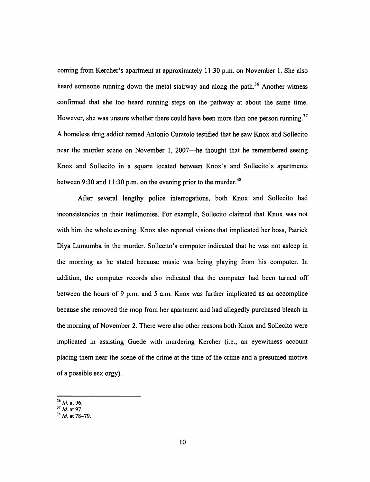coming from Kercher's apartment at approximately 11:30 p.m. on November 1. She also heard someone running down the metal stairway and along the path.<sup>36</sup> Another witness confirmed that she too heard running steps on the pathway at about the same time. However, she was unsure whether there could have been more than one person running.<sup>37</sup> A homeless drug addict named Antonio Curatolo testified that he saw Knox and Sollecito near the murder scene on November 1, 2007—he thought that he remembered seeing Knox and Sollecito in a square located between Knox's and Sollecito's apartments between 9:30 and 11:30 p.m. on the evening prior to the murder.<sup>38</sup>

After several lengthy police interrogations, both Knox and Sollecito had inconsistencies in their testimonies. For example, Sollecito claimed that Knox was not with him the whole evening. Knox also reported visions that implicated her boss, Patrick Diya Lumumba in the murder. Sollecito's computer indicated that he was not asleep in the morning as he stated because music was being playing from his computer. In addition, the computer records also indicated that the computer had been turned off between the hours of 9 p.m. and 5 a.m. Knox was further implicated as an accomplice because she removed the mop from her apartment and had allegedly purchased bleach in the morning of November 2. There were also other reasons both Knox and Sollecito were implicated in assisting Guede with murdering Kercher (i.e., an eyewitness account placing them near the scene of the crime at the time of the crime and a presumed motive of a possible sex orgy).

<sup>36</sup>*/d.* at 96.

<sup>37</sup>*/d.* at 97.

<sup>&</sup>lt;sup>38</sup> *Id.* at 78–79.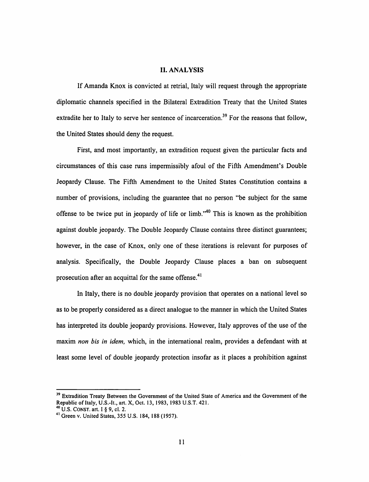## II. ANALYSIS

If Amanda Knox is convicted at retrial, Italy will request through the appropriate diplomatic channels specified in the Bilateral Extradition Treaty that the United States extradite her to Italy to serve her sentence of incarceration.<sup>39</sup> For the reasons that follow, the United States should deny the request.

First, and most importantly, an extradition request given the particular facts and circumstances of this case runs impermissibly afoul of the Fifth Amendment's Double Jeopardy Clause. The Fifth Amendment to the United States Constitution contains a number of provisions, including the guarantee that no person "be subject for the same offense to be twice put in jeopardy of life or limb."<sup>40</sup> This is known as the prohibition against double jeopardy. The Double Jeopardy Clause contains three distinct guarantees; however, in the case of Knox, only one of these iterations is relevant for purposes of analysis. Specifically, the Double Jeopardy Clause places a ban on subsequent prosecution after an acquittal for the same offense. $41$ 

In Italy, there is no double jeopardy provision that operates on a national level so as to be properly considered as a direct analogue to the manner in which the United States has interpreted its double jeopardy provisions. However, Italy approves of the use of the maxim *non bis in idem,* which, in the international realm, provides a defendant with at least some level of double jeopardy protection insofar as it places a prohibition against

<sup>&</sup>lt;sup>39</sup> Extradition Treaty Between the Government of the United State of America and the Government of the Republic of Italy, U.S.-It., art. X, Oct. 13, 1983, 1983 U.S.T. 421.<br><sup>40</sup> U.S. CONST. art. I § 9, cl. 2.

<sup>&</sup>lt;sup>41</sup> Green v. United States, 355 U.S. 184, 188 (1957).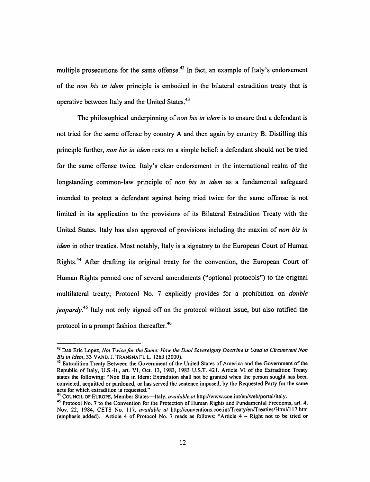multiple prosecutions for the same offense.<sup>42</sup> In fact, an example of Italy's endorsement of the *non his in idem* principle is embodied in the bilateral extradition treaty that is operative between Italy and the United States.<sup>43</sup>

The philosophical underpinning of *non his in idem* is to ensure that a defendant is not tried for the same offense by country A and then again by country B. Distilling this principle further, *non his in idem* rests on a simple belief: a defendant should not be tried for the same offense twice. Italy's clear endorsement in the international realm of the longstanding common-law principle of *non his in idem* as a fundamental safeguard intended to protect a defendant against being tried twice for the same offense is not limited in its application to the provisions of its Bilateral Extradition Treaty with the United States. Italy has also approved of provisions including the maxim of *non bis in idem* in other treaties. Most notably, Italy is a signatory to the European Court of Human Rights.<sup>44</sup> After drafting its original treaty for the convention, the European Court of Human Rights penned one of several amendments ("optional protocols") to the original multilateral treaty; Protocol No. 7 explicitly provides for a prohibition on *double jeopardy.*<sup>45</sup> Italy not only signed off on the protocol without issue, but also ratified the protocol in a prompt fashion thereafter.<sup>46</sup>

<sup>&</sup>lt;sup>42</sup> Dax Eric Lopez, *Not Twice for the Same: How the Dual Sovereignty Doctrine is Used to Circumvent Non Bis in Idem, 33 VAND. J. TRANSNATL L. 1263 (2000).* 

<sup>&</sup>lt;sup>43</sup> Extradition Treaty Between the Government of the United States of America and the Government of the Republic of Italy, U.S.-lt., art. VI, Oct. 13, 1983, 1983 U.S.T. 421. Article VI of the Extradition Treaty states the following: "Non Bis in Idem: Extradition shall not be granted when the person sought has been convicted, acquitted or pardoned, or has served the sentence imposed, by the Requested Party for the same

acts for which extradition is requested." 44 COUNCIL OF EUROPE, Member States-Italy, *available at* http://www.coe.int/en/web/portal/italy.

<sup>&</sup>lt;sup>45</sup> Protocol No. 7 to the Convention for the Protection of Human Rights and Fundamental Freedoms, art. 4, Nov. 22, 1984, CETS No. 117, *available at* http://conventions.coe.int/Treaty/en/Treaties/HtmV117.htm (emphasis added). Article 4 of Protocol No. 7 reads as follows: "Article 4 - Right not to be tried or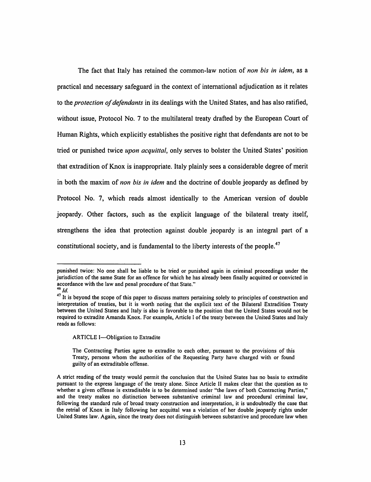The fact that Italy has retained the common-law notion of *non his in idem,* as a practical and necessary safeguard in the context of international adjudication as it relates to the *protection of defendants* in its dealings with the United States, and has also ratified, without issue, Protocol No. 7 to the multilateral treaty drafted by the European Court of Human Rights, which explicitly establishes the positive right that defendants are not to be tried or punished twice *upon acquittal,* only serves to bolster the United States' position that extradition of Knox is inappropriate. Italy plainly sees a considerable degree of merit in both the maxim of *non his in idem* and the doctrine of double jeopardy as defined by Protocol No. 7, which reads almost identically to the American version of double jeopardy. Other factors, such as the explicit language of the bilateral treaty itself, strengthens the idea that protection against double jeopardy is an integral part of a constitutional society, and is fundamental to the liberty interests of the people.<sup>47</sup>

ARTICLE I-Obligation to Extradite

punished twice: No one shall be liable to be tried or punished again in criminal proceedings under the jurisdiction of the same State for an offence for which he has already been finally acquitted or convicted in accordance with the law and penal procedure of that State." <sup>46</sup>*/d.* 

<sup>&</sup>lt;sup>47</sup> It is beyond the scope of this paper to discuss matters pertaining solely to principles of construction and interpretation of treaties, but it is worth noting that the explicit text of the Bilateral Extradition Treaty between the United States and Italy is also is favorable to the position that the United States would not be required to extradite Amanda Knox. For example, Article I of the treaty between the United States and Italy reads as follows:

The Contracting Parties agree to extradite to each other, pursuant to the provisions of this Treaty, persons whom the authorities of the Requesting Party have charged with or found guilty of an extraditable offense.

A strict reading of the treaty would permit the conclusion that the United States has no basis to extradite pursuant to the express language of the treaty alone. Since Article II makes clear that the question as to whether a given offense is extraditable is to be determined under "the laws of both Contracting Parties," and the treaty makes no distinction between substantive criminal law and procedural criminal law, following the standard rule of broad treaty construction and interpretation, it is undoubtedly the case that the retrial of Knox in Italy following her acquittal was a violation of her double jeopardy rights under United States law. Again, since the treaty does not distinguish between substantive and procedure law when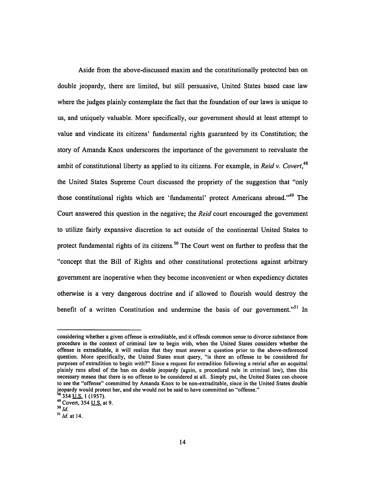Aside from the above-discussed maxim and the constitutionally protected ban on double jeopardy, there are limited, but still persuasive, United States based case law where the judges plainly contemplate the fact that the foundation of our laws is unique to us, and uniquely valuable. More specifically, our government should at least attempt to value and vindicate its citizens' fundamental rights guaranteed by its Constitution; the story of Amanda Knox underscores the importance of the government to reevaluate the ambit of constitutional liberty as applied to its citizens. For example, in *Reid v. Covert,<sup>48</sup>* the United States Supreme Court discussed the propriety of the suggestion that "only those constitutional rights which are 'fundamental' protect Americans abroad."<sup>49</sup> The Court answered this question in the negative; the *Reid* court encouraged the government to utilize fairly expansive discretion to act outside of the continental United States to protect fundamental rights of its citizens.<sup>50</sup> The Court went on further to profess that the "concept that the Bill of Rights and other constitutional protections against arbitrary government are inoperative when they become inconvenient or when expediency dictates otherwise is a very dangerous doctrine and if allowed to flourish would destroy the benefit of a written Constitution and undermine the basis of our government."<sup>51</sup> In

considering whether a given offense is extraditable, and it offends common sense to divorce substance from procedure in the context of criminal law to begin with, when the United States considers whether the offense is extraditable, it will realize that they must answer a question prior to the above-referenced question. More specifically, the United States must query, "is there an offense to be considered for purposes of extradition to begin with?" Since a request for extradition following a retrial after an acquittal plainly runs afoul of the ban on double jeopardy (again, a procedural rule in criminal law), then this necessary means that there is no offense to be considered at all. Simply put, the United States can choose to see the "offense" committed by Amanda Knox to be non-extraditable, since in the United States double jeopardy would protect her, and she would not be said to have committed an "offense."<br><sup>48</sup> 354 <u>U.S.</u> 1 (1957).<br><sup>49</sup> Covert, 354 <u>U.S.</u> at 9.

*sold.* 

 $51$  *Id.* at 14.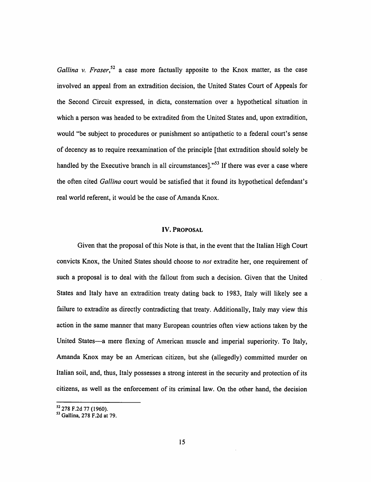*Gallina v. Fraser*<sup>52</sup> a case more factually apposite to the Knox matter, as the case involved an appeal from an extradition decision, the United States Court of Appeals for the Second Circuit expressed, in dicta, consternation over a hypothetical situation in which a person was headed to be extradited from the United States and, upon extradition, would "be subject to procedures or punishment so antipathetic to a federal court's sense of decency as to require reexamination of the principle [that extradition should solely be handled by the Executive branch in all circumstances]."<sup>53</sup> If there was ever a case where the often cited *Gallina* court would be satisfied that it found its hypothetical defendant's real world referent, it would be the case of Amanda Knox.

#### IV. PROPOSAL

Given that the proposal of this Note is that, in the event that the Italian High Court convicts Knox, the United States should choose to *not* extradite her, one requirement of such a proposal is to deal with the fallout from such a decision. Given that the United States and Italy have an extradition treaty dating back to 1983, Italy will likely see a failure to extradite as directly contradicting that treaty. Additionally, Italy may view this action in the same manner that many European countries often view actions taken by the United States-a mere flexing of American muscle and imperial superiority. To Italy, Amanda Knox may be an American citizen, but she (allegedly) committed murder on Italian soil, and, thus, Italy possesses a strong interest in the security and protection of its citizens, as well as the enforcement of its criminal law. On the other hand, the decision

 $52$  278 F.2d 77 (1960).<br> $53$  Gallina, 278 F.2d at 79.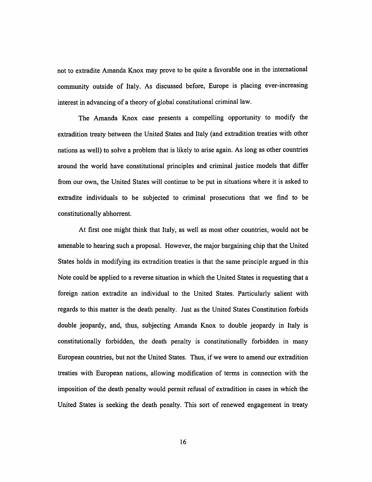not to extradite Amanda Knox may prove to be quite a favorable one in the international community outside of Italy. As discussed before, Europe is placing ever-increasing interest in advancing of a theory of global constitutional criminal law.

The Amanda Knox case presents a compelling opportunity to modify the extradition treaty between the United States and Italy (and extradition treaties with other nations as well) to solve a problem that is likely to arise again. As long as other countries around the world have constitutional principles and criminal justice models that differ from our own, the United States will continue to be put in situations where it is asked to extradite individuals to be subjected to criminal prosecutions that we find to be constitutionally abhorrent.

At first one might think that Italy, as well as most other countries, would not be amenable to hearing such a proposal. However, the major bargaining chip that the United States holds in modifying its extradition treaties is that the same principle argued in this Note could be applied to a reverse situation in which the United States is requesting that a foreign nation extradite an individual to the United States. Particularly salient with regards to this matter is the death penalty. Just as the United States Constitution forbids double jeopardy, and, thus, subjecting Amanda Knox to double jeopardy in Italy is constitutionally forbidden, the death penalty is constitutionally forbidden in many European countries, but not the United States. Thus, if we were to amend our extradition treaties with European nations, allowing modification of terms in connection with the imposition of the death penalty would permit refusal of extradition in cases in which the United States is seeking the death penalty. This sort of renewed engagement in treaty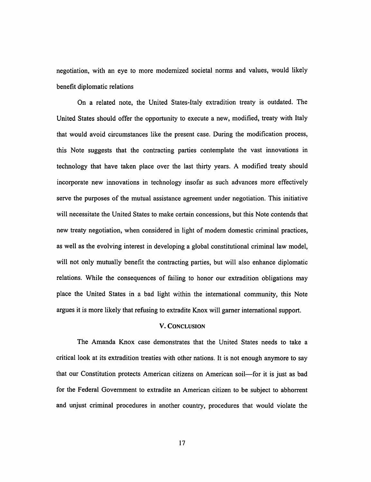negotiation, with an eye to more modernized societal norms and values, would likely benefit diplomatic relations

On a related note, the United States-Italy extradition treaty is outdated. The United States should offer the opportunity to execute a new, modified, treaty with Italy that would avoid circumstances like the present case. During the modification process, this Note suggests that the contracting parties contemplate the vast innovations in technology that have taken place over the last thirty years. A modified treaty should incorporate new innovations in technology insofar as such advances more effectively serve the purposes of the mutual assistance agreement under negotiation. This initiative will necessitate the United States to make certain concessions, but this Note contends that new treaty negotiation, when considered in light of modem domestic criminal practices, as well as the evolving interest in developing a global constitutional criminal law model, will not only mutually benefit the contracting parties, but will also enhance diplomatic relations. While the consequences of failing to honor our extradition obligations may place the United States in a bad light within the international community, this Note argues it is more likely that refusing to extradite Knox will gamer international support.

## V. CONCLUSION

The Amanda Knox case demonstrates that the United States needs to take a critical look at its extradition treaties with other nations. It is not enough anymore to say that our Constitution protects American citizens on American soil-for it is just as bad for the Federal Government to extradite an American citizen to be subject to abhorrent and unjust criminal procedures in another country, procedures that would violate the